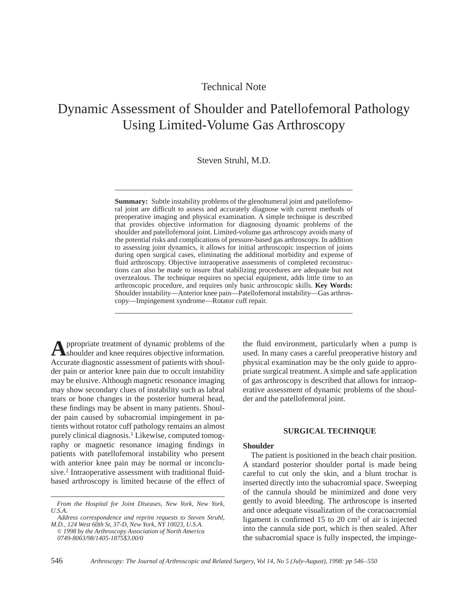# Technical Note

# Dynamic Assessment of Shoulder and Patellofemoral Pathology Using Limited-Volume Gas Arthroscopy

Steven Struhl, M.D.

**Summary:** Subtle instability problems of the glenohumeral joint and patellofemoral joint are difficult to assess and accurately diagnose with current methods of preoperative imaging and physical examination. A simple technique is described that provides objective information for diagnosing dynamic problems of the shoulder and patellofemoral joint. Limited-volume gas arthroscopy avoids many of the potential risks and complications of pressure-based gas arthroscopy. In addition to assessing joint dynamics, it allows for initial arthroscopic inspection of joints during open surgical cases, eliminating the additional morbidity and expense of fluid arthroscopy. Objective intraoperative assessments of completed reconstructions can also be made to insure that stabilizing procedures are adequate but not overzealous. The technique requires no special equipment, adds little time to an arthroscopic procedure, and requires only basic arthroscopic skills. **Key Words:** Shoulder instability—Anterior knee pain—Patellofemoral instability—Gas arthroscopy—Impingement syndrome—Rotator cuff repair.

**A**ppropriate treatment of dynamic problems of the shoulder and knee requires objective information. Accurate diagnostic assessment of patients with shoulder pain or anterior knee pain due to occult instability may be elusive. Although magnetic resonance imaging may show secondary clues of instability such as labral tears or bone changes in the posterior humeral head, these findings may be absent in many patients. Shoulder pain caused by subacromial impingement in patients without rotator cuff pathology remains an almost purely clinical diagnosis.1 Likewise, computed tomography or magnetic resonance imaging findings in patients with patellofemoral instability who present with anterior knee pain may be normal or inconclusive.2 Intraoperative assessment with traditional fluidbased arthroscopy is limited because of the effect of

the fluid environment, particularly when a pump is used. In many cases a careful preoperative history and physical examination may be the only guide to appropriate surgical treatment. A simple and safe application of gas arthroscopy is described that allows for intraoperative assessment of dynamic problems of the shoulder and the patellofemoral joint.

## **SURGICAL TECHNIQUE**

#### **Shoulder**

The patient is positioned in the beach chair position. A standard posterior shoulder portal is made being careful to cut only the skin, and a blunt trochar is inserted directly into the subacromial space. Sweeping of the cannula should be minimized and done very gently to avoid bleeding. The arthroscope is inserted and once adequate visualization of the coracoacromial ligament is confirmed 15 to 20 cm3 of air is injected into the cannula side port, which is then sealed. After the subacromial space is fully inspected, the impinge-

*From the Hospital for Joint Diseases, New York, New York, U.S.A.*

*Address correspondence and reprint requests to Steven Struhl, M.D., 124 West 60th St, 37-D, New York, NY 10023, U.S.A.*  $O$  1998 by the Arthroscopy Association of North America

*<sup>0749-8063/98/1405-1875\$3.00/0</sup>*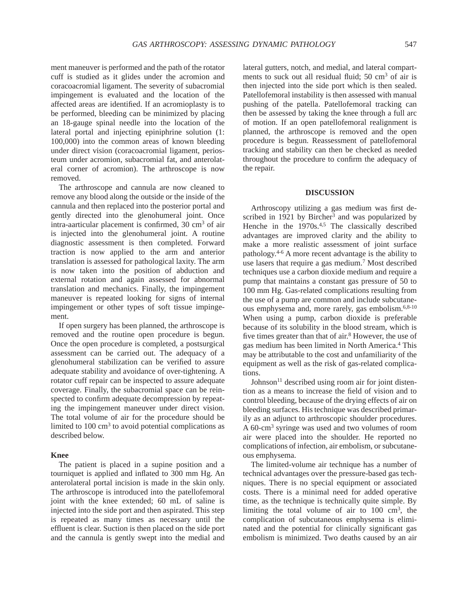ment maneuver is performed and the path of the rotator cuff is studied as it glides under the acromion and coracoacromial ligament. The severity of subacromial impingement is evaluated and the location of the affected areas are identified. If an acromioplasty is to be performed, bleeding can be minimized by placing an 18-gauge spinal needle into the location of the lateral portal and injecting epiniphrine solution (1: 100,000) into the common areas of known bleeding under direct vision (coracoacromial ligament, periosteum under acromion, subacromial fat, and anterolateral corner of acromion). The arthroscope is now removed.

The arthroscope and cannula are now cleaned to remove any blood along the outside or the inside of the cannula and then replaced into the posterior portal and gently directed into the glenohumeral joint. Once intra-aarticular placement is confirmed,  $30 \text{ cm}^3$  of air is injected into the glenohumeral joint. A routine diagnostic assessment is then completed. Forward traction is now applied to the arm and anterior translation is assessed for pathological laxity. The arm is now taken into the position of abduction and external rotation and again assessed for abnormal translation and mechanics. Finally, the impingement maneuver is repeated looking for signs of internal impingement or other types of soft tissue impingement.

If open surgery has been planned, the arthroscope is removed and the routine open procedure is begun. Once the open procedure is completed, a postsurgical assessment can be carried out. The adequacy of a glenohumeral stabilization can be verified to assure adequate stability and avoidance of over-tightening. A rotator cuff repair can be inspected to assure adequate coverage. Finally, the subacromial space can be reinspected to confirm adequate decompression by repeating the impingement maneuver under direct vision. The total volume of air for the procedure should be limited to  $100 \text{ cm}^3$  to avoid potential complications as described below.

# **Knee**

The patient is placed in a supine position and a tourniquet is applied and inflated to 300 mm Hg. An anterolateral portal incision is made in the skin only. The arthroscope is introduced into the patellofemoral joint with the knee extended; 60 mL of saline is injected into the side port and then aspirated. This step is repeated as many times as necessary until the effluent is clear. Suction is then placed on the side port and the cannula is gently swept into the medial and

lateral gutters, notch, and medial, and lateral compartments to suck out all residual fluid;  $50 \text{ cm}^3$  of air is then injected into the side port which is then sealed. Patellofemoral instability is then assessed with manual pushing of the patella. Patellofemoral tracking can then be assessed by taking the knee through a full arc of motion. If an open patellofemoral realignment is planned, the arthroscope is removed and the open procedure is begun. Reassessment of patellofemoral tracking and stability can then be checked as needed throughout the procedure to confirm the adequacy of the repair.

### **DISCUSSION**

Arthroscopy utilizing a gas medium was first described in 1921 by Bircher<sup>3</sup> and was popularized by Henche in the  $1970s^{4,5}$  The classically described advantages are improved clarity and the ability to make a more realistic assessment of joint surface pathology.4-6 A more recent advantage is the ability to use lasers that require a gas medium.<sup>7</sup> Most described techniques use a carbon dioxide medium and require a pump that maintains a constant gas pressure of 50 to 100 mm Hg. Gas-related complications resulting from the use of a pump are common and include subcutaneous emphysema and, more rarely, gas embolism.6,8-10 When using a pump, carbon dioxide is preferable because of its solubility in the blood stream, which is five times greater than that of air.<sup>8</sup> However, the use of gas medium has been limited in North America.4 This may be attributable to the cost and unfamiliarity of the equipment as well as the risk of gas-related complications.

Johnson<sup>11</sup> described using room air for joint distention as a means to increase the field of vision and to control bleeding, because of the drying effects of air on bleeding surfaces. His technique was described primarily as an adjunct to arthroscopic shoulder procedures. A 60-cm3 syringe was used and two volumes of room air were placed into the shoulder. He reported no complications of infection, air embolism, or subcutaneous emphysema.

The limited-volume air technique has a number of technical advantages over the pressure-based gas techniques. There is no special equipment or associated costs. There is a minimal need for added operative time, as the technique is technically quite simple. By limiting the total volume of air to  $100 \text{ cm}^3$ , the complication of subcutaneous emphysema is eliminated and the potential for clinically significant gas embolism is minimized. Two deaths caused by an air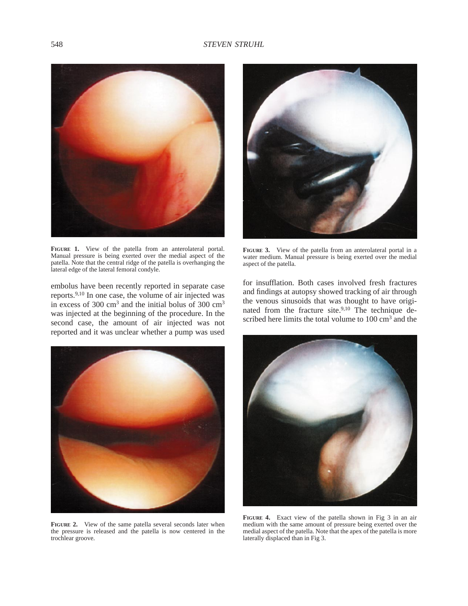

**FIGURE 1.** View of the patella from an anterolateral portal. Manual pressure is being exerted over the medial aspect of the patella. Note that the central ridge of the patella is overhanging the lateral edge of the lateral femoral condyle.

embolus have been recently reported in separate case reports.9,10 In one case, the volume of air injected was in excess of 300  $\text{cm}^3$  and the initial bolus of 300  $\text{cm}^3$ was injected at the beginning of the procedure. In the second case, the amount of air injected was not reported and it was unclear whether a pump was used



**FIGURE 3.** View of the patella from an anterolateral portal in a water medium. Manual pressure is being exerted over the medial aspect of the patella.

for insufflation. Both cases involved fresh fractures and findings at autopsy showed tracking of air through the venous sinusoids that was thought to have originated from the fracture site.<sup>9,10</sup> The technique described here limits the total volume to 100 cm<sup>3</sup> and the



**FIGURE 2.** View of the same patella several seconds later when the pressure is released and the patella is now centered in the trochlear groove.



**FIGURE 4.** Exact view of the patella shown in Fig 3 in an air medium with the same amount of pressure being exerted over the medial aspect of the patella. Note that the apex of the patella is more laterally displaced than in Fig 3.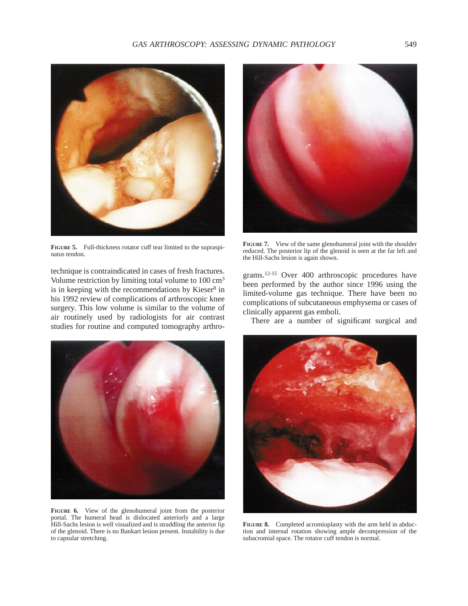

**FIGURE 5.** Full-thickness rotator cuff tear limited to the supraspinatus tendon.

technique is contraindicated in cases of fresh fractures. Volume restriction by limiting total volume to  $100 \text{ cm}^3$ is in keeping with the recommendations by Kieser<sup>8</sup> in his 1992 review of complications of arthroscopic knee surgery. This low volume is similar to the volume of air routinely used by radiologists for air contrast studies for routine and computed tomography arthro-



**FIGURE 6.** View of the glenohumeral joint from the posterior portal. The humeral head is dislocated anteriorly and a large Hill-Sachs lesion is well visualized and is straddling the anterior lip of the glenoid. There is no Bankart lesion present. Instability is due to capsular stretching.



**FIGURE 7.** View of the same glenohumeral joint with the shoulder reduced. The posterior lip of the glenoid is seen at the far left and the Hill-Sachs lesion is again shown.

grams.12-15 Over 400 arthroscopic procedures have been performed by the author since 1996 using the limited-volume gas technique. There have been no complications of subcutaneous emphysema or cases of clinically apparent gas emboli.

There are a number of significant surgical and



**FIGURE 8.** Completed acromioplasty with the arm held in abduction and internal rotation showing ample decompression of the subacromial space. The rotator cuff tendon is normal.